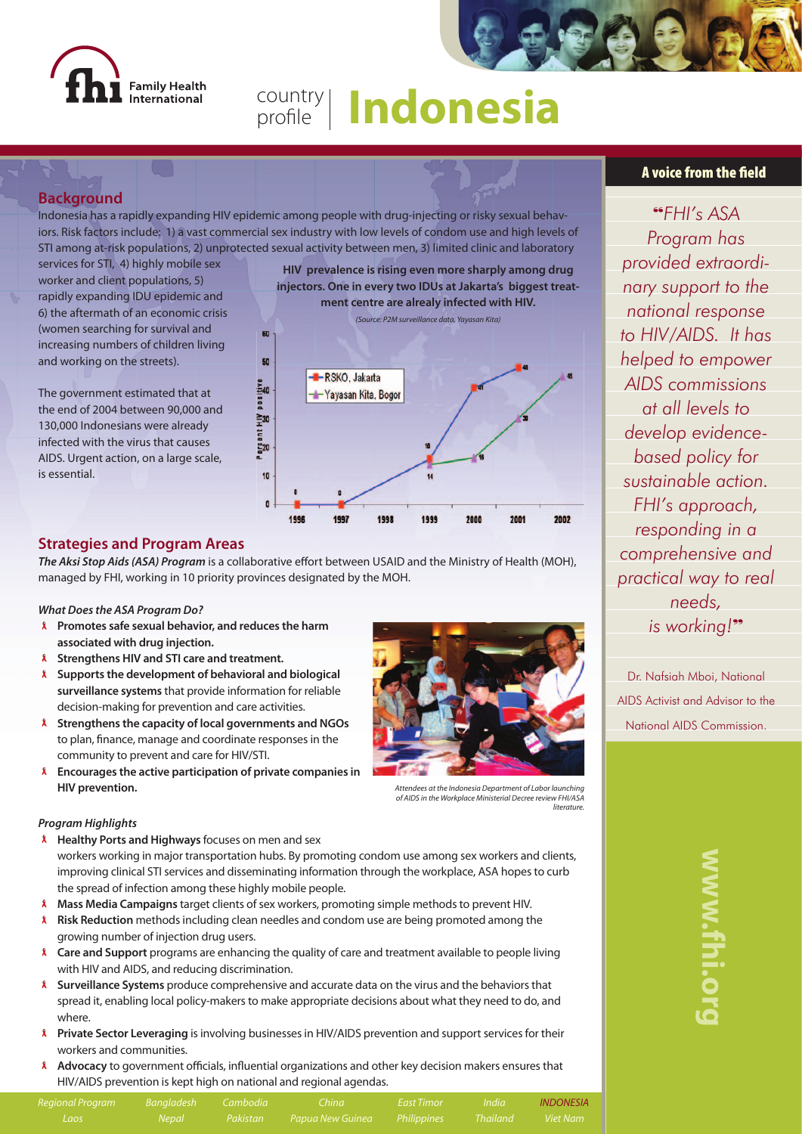

# country **Indonesia**

# **Background**

Indonesia has a rapidly expanding HIV epidemic among people with drug-injecting or risky sexual behaviors. Risk factors include: 1) a vast commercial sex industry with low levels of condom use and high levels of STI among at-risk populations, 2) unprotected sexual activity between men, 3) limited clinic and laboratory

services for STI, 4) highly mobile sex worker and client populations, 5) rapidly expanding IDU epidemic and 6) the aftermath of an economic crisis (women searching for survival and increasing numbers of children living and working on the streets).

The government estimated that at the end of 2004 between 90,000 and 130,000 Indonesians were already infected with the virus that causes AIDS. Urgent action, on a large scale, is essential.



### **Strategies and Program Areas**

The Aksi Stop Aids (ASA) Program is a collaborative effort between USAID and the Ministry of Health (MOH), managed by FHI, working in 10 priority provinces designated by the MOH.

#### **What Does the ASA Program Do?**

- **Promotes safe sexual behavior, and reduces the harm associated with drug injection.**
- **Strengthens HIV and STI care and treatment.**
- **Supports the development of behavioral and biological surveillance systems** that provide information for reliable decision-making for prevention and care activities.
- Ŕ. **Strengthens the capacity of local governments and NGOs** to plan, finance, manage and coordinate responses in the community to prevent and care for HIV/STI.
- $\mathbf{x}$ **Encourages the active participation of private companies in HIV prevention.**



Attendees at the Indonesia Department of Labor launching of AIDS in the Workplace Ministerial Decree review FHI/ASA literature

#### **Program Highlights**

- **K** Healthy Ports and Highways focuses on men and sex workers working in major transportation hubs. By promoting condom use among sex workers and clients, improving clinical STI services and disseminating information through the workplace, ASA hopes to curb the spread of infection among these highly mobile people.
- $\mathbf{x}$ **Mass Media Campaigns** target clients of sex workers, promoting simple methods to prevent HIV.
- $\mathbf{x}$ **Risk Reduction** methods including clean needles and condom use are being promoted among the growing number of injection drug users.
- **Care and Support** programs are enhancing the quality of care and treatment available to people living  $\mathbf{x}$ with HIV and AIDS, and reducing discrimination.
- $\mathbf{x}$ **Surveillance Systems** produce comprehensive and accurate data on the virus and the behaviors that spread it, enabling local policy-makers to make appropriate decisions about what they need to do, and where.
- $\mathbf{x}$ **Private Sector Leveraging** is involving businesses in HIV/AIDS prevention and support services for their workers and communities.
- Advocacy to government officials, influential organizations and other key decision makers ensures that HIV/AIDS prevention is kept high on national and regional agendas.

| Regional Program Bangladesh Cambodia |                      | China 1                                      | – Fast Timor | . India ' | <i><b>INDONESIA</b></i> |
|--------------------------------------|----------------------|----------------------------------------------|--------------|-----------|-------------------------|
| Laos                                 | $\blacksquare$ Nepal | <b>Pakistan</b> Papua New Guinea Philippines |              |           |                         |

# A voice from the field

"*FHI's ASA Program has provided extraordinary support to the national response to HIV/AIDS. It has helped to empower AIDS commissions at all levels to develop evidencebased policy for sustainable action. FHI's approach, responding in a comprehensive and practical way to real needs, is working!*"

Dr. Nafsiah Mboi, National AIDS Activist and Advisor to the National AIDS Commission.

**www.fhi.org**